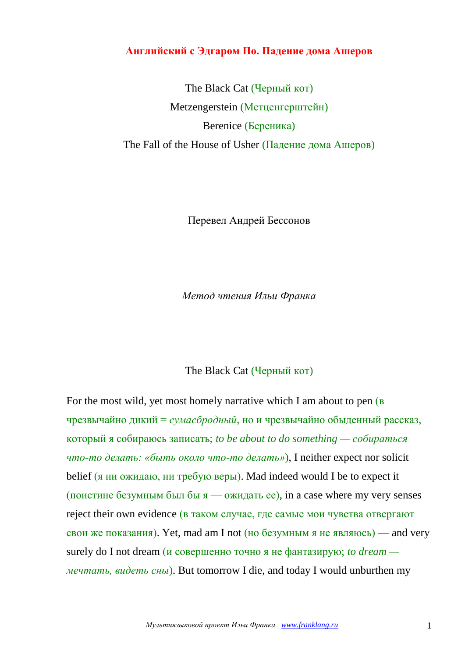## **Английский с Эдгаром По. Падение дома Ашеров**

The Black Cat (Черный кот) Metzengerstein (Метценгерштейн) Berenice (Береника) The Fall of the House of Usher (Падение дома Ашеров)

Перевел Андрей Бессонов

*Метод чтения Ильи Франка*

## The Black Cat (Черный кот)

For the most wild, yet most homely narrative which I am about to pen ( $\overline{B}$ ) чрезвычайно дикий = *сумасбродный*, но и чрезвычайно обыденный рассказ, который я собираюсь записать; *to be about to do something — собираться что-то делать: «быть около что-то делать»*), I neither expect nor solicit belief (я ни ожидаю, ни требую веры). Mad indeed would I be to expect it (поистине безумным был бы  $\alpha$  — ожидать ее), in a case where my very senses reject their own evidence (в таком случае, где самые мои чувства отвергают свои же показания). Yet, mad am I not (но безумным я не являюсь) — and very surely do I not dream (и совершенно точно я не фантазирую; *to dream мечтать, видеть сны*). But tomorrow I die, and today I would unburthen my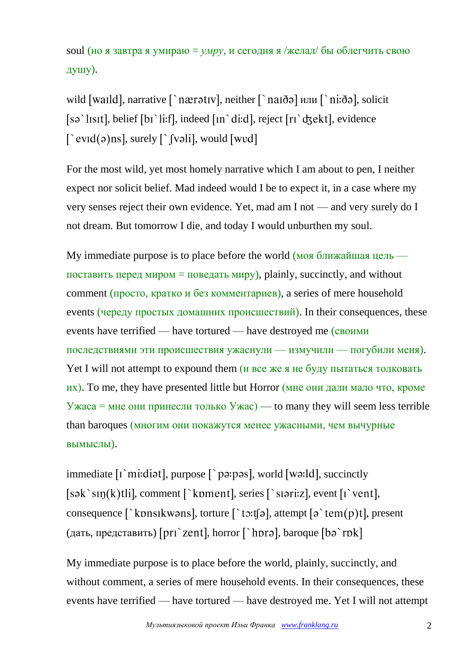soul (но я завтра я умираю = *умру*, и сегодня я /желал/ бы облегчить свою душу).

wild [waild], narrative [`nærətiv], neither [`naiðə] или [`ni:ðə], solicit  $[s\sigma^{\text{th}}]$ , belief  $[b\sigma^{\text{th}}]$ , indeed  $[n\sigma^{\text{th}}]$ , reject  $[r\sigma^{\text{th}}]$ , evidence  $\int$  evid(a)ns], surely  $\int$  (valil, would [wvd]

For the most wild, yet most homely narrative which I am about to pen, I neither expect nor solicit belief. Mad indeed would I be to expect it, in a case where my very senses reject their own evidence. Yet, mad am I not — and very surely do I not dream. But tomorrow I die, and today I would unburthen my soul.

My immediate purpose is to place before the world (моя ближайшая цель поставить перед миром = поведать миру), plainly, succinctly, and without comment (просто, кратко и без комментариев), a series of mere household events (череду простых домашних происшествий). In their consequences, these events have terrified — have tortured — have destroyed me (своими последствиями эти происшествия ужаснули — измучили — погубили меня). Yet I will not attempt to expound them ( $\mu$  все же я не буду пытаться толковать их). To me, they have presented little but Horror (мне они дали мало что, кроме Ужаса = мне они принесли только Ужас) — to many they will seem less terrible than baroques (многим они покажутся менее ужасными, чем вычурные вымыслы).

immediate  $[i \text{ 'm: }]$ , purpose  $[\text{ 'pə: }]$ , world  $[wə:]d]$ , succinctly  $[s\in k\$  sin(k)tlil, comment  $\lceil \cdot \text{koment} \rceil$ , series  $\lceil \cdot \text{snr} : z \rceil$ , event  $\lceil \cdot \text{vent} \rceil$ , consequence  $\lceil \cdot \text{kons} \rceil$ , torture  $\lceil \cdot \text{to:} \rceil$ , attempt  $\lceil \circ \cdot \text{tem}(p) \rceil$ , present (дать, представить) [pri `zent], horror [`hpra], baroque  $[$ ba `rpk]

My immediate purpose is to place before the world, plainly, succinctly, and without comment, a series of mere household events. In their consequences, these events have terrified — have tortured — have destroyed me. Yet I will not attempt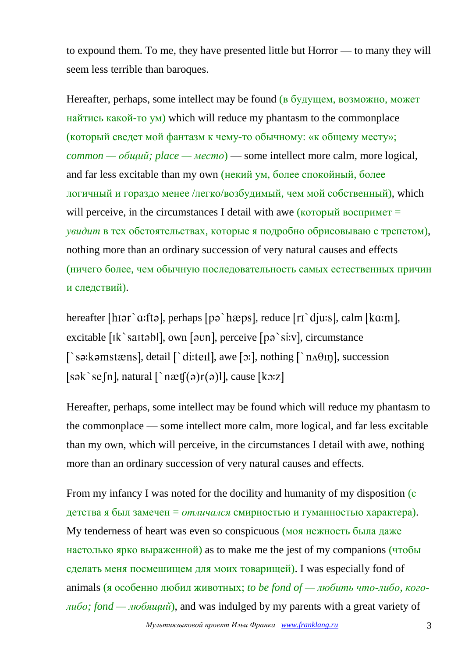to expound them. To me, they have presented little but Horror — to many they will seem less terrible than baroques.

Hereafter, perhaps, some intellect may be found (в будущем, возможно, может найтись какой-то ум) which will reduce my phantasm to the commonplace (который сведет мой фантазм к чему-то обычному: «к общему месту»; *common — общий; place — место*) — some intellect more calm, more logical, and far less excitable than my own (некий ум, более спокойный, более логичный и гораздо менее /легко/возбудимый, чем мой собственный), which will perceive, in the circumstances I detail with awe ( $\kappa$ оторый воспримет = *увидит* в тех обстоятельствах, которые я подробно обрисовываю с трепетом), nothing more than an ordinary succession of very natural causes and effects (ничего более, чем обычную последовательность самых естественных причин и следствий).

hereafter [hɪər` $a$ :ftə], perhaps [pə`hæps], reduce [rɪ`djuːs], calm [k $a$ :m], excitable  $\lceil \mathbf{k} \rangle$  saitabl], own  $\lceil \mathbf{a} \mathbf{v} \rceil$ , perceive  $\lceil \mathbf{p} \rangle$  si:v], circumstance  $\lceil$  sa: kanstæns], detail  $\lceil$  ditell], awe [o:], nothing  $\lceil$  n $\Lambda$ θIn], succession  $[s \circ k \circ \in [n],$  natural  $\lceil \cdot n \cdot \mathfrak{E}[(\circ) r(\circ)] \rceil$ , cause  $[k \circ z]$ 

Hereafter, perhaps, some intellect may be found which will reduce my phantasm to the commonplace — some intellect more calm, more logical, and far less excitable than my own, which will perceive, in the circumstances I detail with awe, nothing more than an ordinary succession of very natural causes and effects.

From my infancy I was noted for the docility and humanity of my disposition (c) детства я был замечен = *отличался* смирностью и гуманностью характера). My tenderness of heart was even so conspicuous (моя нежность была даже настолько ярко выраженной) as to make me the jest of my companions (чтобы сделать меня посмешищем для моих товарищей). I was especially fond of animals (я особенно любил животных; *to be fond of — любить что-либо, коголибо; fond — любящий*), and was indulged by my parents with a great variety of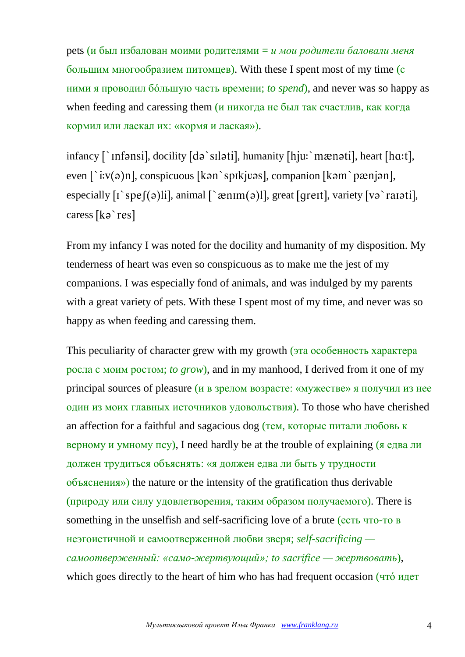pets (и был избалован моими родителями = *и мои родители баловали меня* большим многообразием питомцев). With these I spent most of my time (с ними я проводил бóльшую часть времени; *to spend*), and never was so happy as when feeding and caressing them  $(u)$  никогда не был так счастлив, как когда кормил или ласкал их: «кормя и лаская»).

infancy  $\lceil \cdot \text{infonsi} \rceil$ , docility  $\lceil d \rceil$  silatil, humanity  $\lceil h \rceil$  meanstil, heart  $\lceil h \cdot u \cdot h \rceil$ , even  $\lceil$  i:v(a)n], conspicuous [kan spikjuas], companion [kam pænjan], especially  $\lceil \cdot \text{spe}(\theta) \rceil$ , animal  $\lceil \cdot \text{ænum}(\theta) \rceil$ , great  $\lceil \text{grent} \rceil$ , variety  $\lceil \text{vo} \cdot \text{ra1} \cdot \text{tri} \rceil$ , caress [ka`res]

From my infancy I was noted for the docility and humanity of my disposition. My tenderness of heart was even so conspicuous as to make me the jest of my companions. I was especially fond of animals, and was indulged by my parents with a great variety of pets. With these I spent most of my time, and never was so happy as when feeding and caressing them.

This peculiarity of character grew with my growth (эта особенность характера росла с моим ростом; *to grow*), and in my manhood, I derived from it one of my principal sources of pleasure (и в зрелом возрасте: «мужестве» я получил из нее один из моих главных источников удовольствия). To those who have cherished an affection for a faithful and sagacious dog (тем, которые питали любовь к верному и умному псу), I need hardly be at the trouble of explaining  $\overline{g}$  едва ли должен трудиться объяснять: «я должен едва ли быть у трудности объяснения») the nature or the intensity of the gratification thus derivable (природу или силу удовлетворения, таким образом получаемого). There is something in the unselfish and self-sacrificing love of a brute (есть что-то в неэгоистичной и самоотверженной любви зверя; *self-sacrificing самоотверженный: «само-жертвующий»; to sacrifice — жертвовать*), which goes directly to the heart of him who has had frequent occasion (что́ идет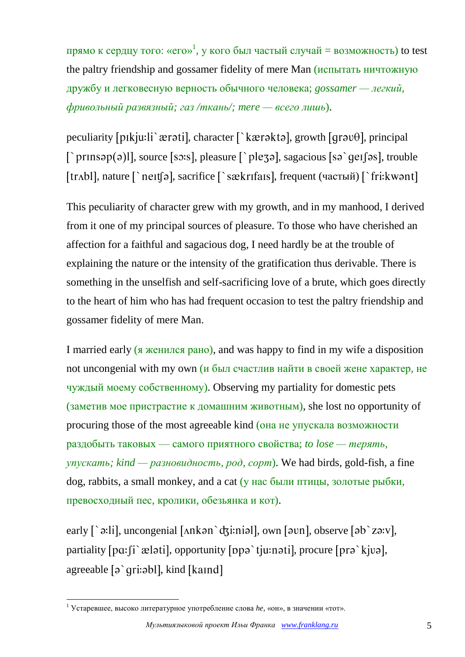прямо к сердцу того: «его»<sup>1</sup>, у кого был частый случай = возможность) to test the paltry friendship and gossamer fidelity of mere Man (испытать ничтожную дружбу и легковесную верность обычного человека; *gossamer — легкий, фривольный развязный; газ /ткань/; mere — всего лишь*).

peculiarity [pɪkju:li `ærəti], character [`kærəktə], growth [qrəv $\theta$ ], principal  $\lceil \text{prinsap(a)} \rceil$ , source [so:s], pleasure  $\lceil \text{plezo} \rceil$ , sagacious [so `ge $\lceil \text{os} \rceil$ , trouble [trʌbl], nature [`neɪtʃə], sacrifice [`sækrɪfaɪs], frequent (частый) [`fri:kwənt]

This peculiarity of character grew with my growth, and in my manhood, I derived from it one of my principal sources of pleasure. To those who have cherished an affection for a faithful and sagacious dog, I need hardly be at the trouble of explaining the nature or the intensity of the gratification thus derivable. There is something in the unselfish and self-sacrificing love of a brute, which goes directly to the heart of him who has had frequent occasion to test the paltry friendship and gossamer fidelity of mere Man.

I married early (я женился рано), and was happy to find in my wife a disposition not uncongenial with my own (и был счастлив найти в своей жене характер, не чуждый моему собственному). Observing my partiality for domestic pets (заметив мое пристрастие к домашним животным), she lost no opportunity of procuring those of the most agreeable kind (она не упускала возможности раздобыть таковых — самого приятного свойства; *to lose — терять, упускать; kind — разновидность, род, сорт*). We had birds, gold-fish, a fine dog, rabbits, a small monkey, and a cat (у нас были птицы, золотые рыбки, превосходный пес, кролики, обезьянка и кот).

early  $\lceil \cdot \cdot \cdot \cdot \rceil$ , uncongenial  $\lceil \cdot \cdot \cdot \cdot \cdot \rceil$ ,  $\lceil \cdot \cdot \cdot \cdot \cdot \rceil$ ,  $\lceil \cdot \cdot \cdot \cdot \cdot \rceil$ ,  $\lceil \cdot \cdot \cdot \cdot \cdot \rceil$ ,  $\lceil \cdot \cdot \cdot \cdot \cdot \cdot \rceil$ ,  $\lceil \cdot \cdot \cdot \cdot \cdot \cdot \rceil$ ,  $\lceil \cdot \cdot \cdot \cdot \cdot \cdot \rceil$ ,  $\lceil \cdot \cdot \cdot \cdot \cdot \cdot \rceil$ ,  $\lceil \cdot \cdot \cdot \cdot \cdot \cdot \$ partiality  $[pa:fi\$   $\approx$   $b$ lati], opportunity  $[ppa\$   $t$ ju:nati], procure  $[pra\$   $k$ jva], agreeable  $\lceil \rho \right\rceil$  qri: $\frac{1}{\rho}$ , kind  $\lceil \frac{1}{\rho} \rceil$ 

1

<sup>1</sup> Устаревшее, высоко литературное употребление слова *he,* «он», в значении «тот».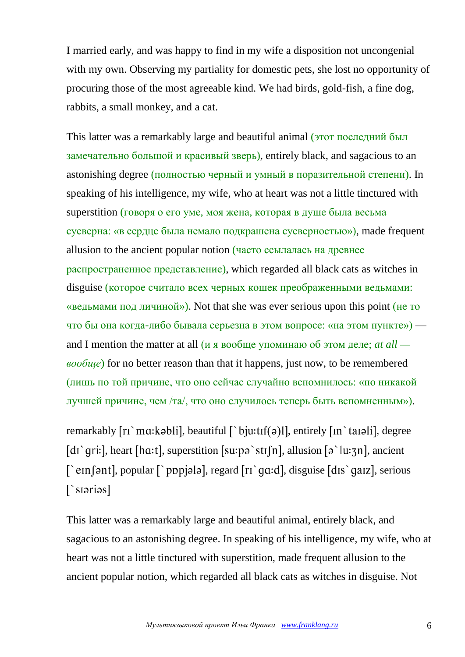I married early, and was happy to find in my wife a disposition not uncongenial with my own. Observing my partiality for domestic pets, she lost no opportunity of procuring those of the most agreeable kind. We had birds, gold-fish, a fine dog, rabbits, a small monkey, and a cat.

This latter was a remarkably large and beautiful animal (этот последний был замечательно большой и красивый зверь), entirely black, and sagacious to an astonishing degree (полностью черный и умный в поразительной степени). In speaking of his intelligence, my wife, who at heart was not a little tinctured with superstition (говоря о его уме, моя жена, которая в душе была весьма суеверна: «в сердце была немало подкрашена суеверностью»), made frequent allusion to the ancient popular notion (часто ссылалась на древнее распространенное представление), which regarded all black cats as witches in disguise (которое считало всех черных кошек преображенными ведьмами: «ведьмами под личиной»). Not that she was ever serious upon this point (не то что бы она когда-либо бывала серьезна в этом вопросе: «на этом пункте») and I mention the matter at all (и я вообще упоминаю об этом деле; *at all вообще*) for no better reason than that it happens, just now, to be remembered (лишь по той причине, что оно сейчас случайно вспомнилось: «по никакой лучшей причине, чем /та/, что оно случилось теперь быть вспомненным»).

remarkably  $\lceil r \rceil$  ma: kabli, beautiful  $\lceil \rceil$  bju: tri $\lceil \rceil$  entirely  $\lceil \ln \rceil$  tangli, degree [dɪ `qri:], heart [hɑ:t], superstition [su:pə `stɪ [n], allusion [ə `lu: $\tau$ n], ancient  $\lceil$  em [ $\lceil$  em [ $\lceil$  popular  $\lceil$  popular], regard  $\lceil$  r  $\rceil$  qq. d], disguise  $\lceil$  dls  $\rceil$  qq. and galax galax galax galax galax galax galax galax galax galax galax galax galax galax galax galax galax galax gal  $\lceil$ 'siarias]

This latter was a remarkably large and beautiful animal, entirely black, and sagacious to an astonishing degree. In speaking of his intelligence, my wife, who at heart was not a little tinctured with superstition, made frequent allusion to the ancient popular notion, which regarded all black cats as witches in disguise. Not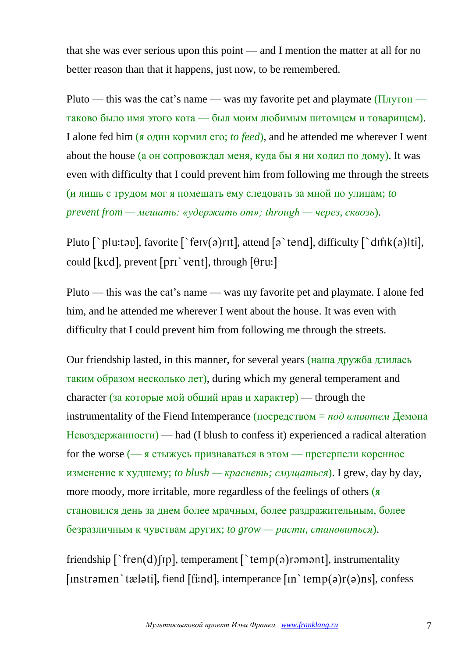that she was ever serious upon this point — and I mention the matter at all for no better reason than that it happens, just now, to be remembered.

Pluto — this was the cat's name — was my favorite pet and playmate  $(\Pi_{\text{JIVTOH}}$ таково было имя этого кота — был моим любимым питомцем и товарищем). I alone fed him (я один кормил его; *to feed*), and he attended me wherever I went about the house (а он сопровождал меня, куда бы я ни ходил по дому). It was even with difficulty that I could prevent him from following me through the streets (и лишь с трудом мог я помешать ему следовать за мной по улицам; *to prevent from — мешать: «удержать от»; through — через, сквозь*).

Pluto  $\lceil \cdot \frac{\rho}{\nu} \rceil$ , favorite  $\lceil \cdot \frac{\rho}{\nu} \rceil$ , attend  $\lceil \rho \cdot \frac{\rho}{\nu} \rceil$ , difficulty  $\lceil \cdot \frac{\rho}{\nu} \rceil$ ,  $\lceil \cdot \frac{\rho}{\nu} \rceil$ , could [kvd], prevent [pri `vent], through  $[0r]$ 

Pluto — this was the cat's name — was my favorite pet and playmate. I alone fed him, and he attended me wherever I went about the house. It was even with difficulty that I could prevent him from following me through the streets.

Our friendship lasted, in this manner, for several years (наша дружба длилась таким образом несколько лет), during which my general temperament and character (за которые мой общий нрав и характер) — through the instrumentality of the Fiend Intemperance (посредством = *под влиянием* Демона Невоздержанности) — had (I blush to confess it) experienced a radical alteration for the worse (— я стыжусь признаваться в этом — претерпели коренное изменение к худшему; *to blush — краснеть; смущаться*). I grew, day by day, more moody, more irritable, more regardless of the feelings of others (я становился день за днем более мрачным, более раздражительным, более безразличным к чувствам других; *to grow — расти, становиться*).

friendship  $\lceil \text{`fren}(d) \rceil$  temperament  $\lceil \text{`temp}(e) \rceil$  ramant], instrumentality [Instramen `tælati], fiend [fi:nd], intemperance  $\lceil$ In `temp(a)r(a)ns], confess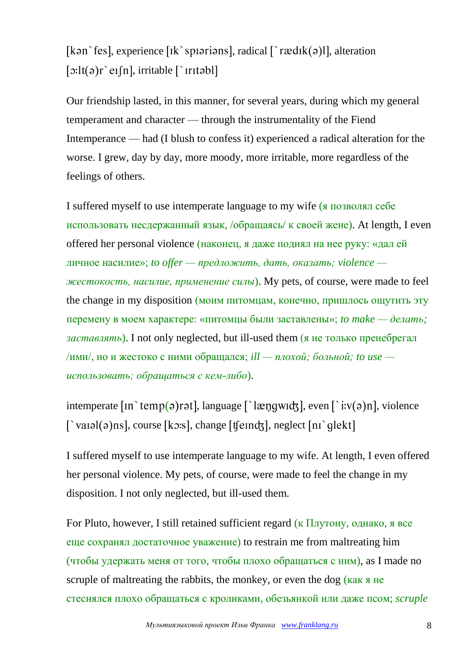[kən 'fes], experience [Ik 'spiəriəns], radical  $\lceil$  'r  $\mathcal{R}$ dIk(ə)]], alteration  $\lceil$ :lt(a)r `eI $\lceil n \rceil$ , irritable  $\lceil$  `Irritabl]

Our friendship lasted, in this manner, for several years, during which my general temperament and character — through the instrumentality of the Fiend Intemperance — had (I blush to confess it) experienced a radical alteration for the worse. I grew, day by day, more moody, more irritable, more regardless of the feelings of others.

I suffered myself to use intemperate language to my wife (я позволял себе использовать несдержанный язык, /обращаясь/ к своей жене). At length, I even offered her personal violence (наконец, я даже поднял на нее руку: «дал ей личное насилие»; *to offer — предложить, дать, оказать; violence жестокость, насилие, применение силы*). My pets, of course, were made to feel the change in my disposition (моим питомцам, конечно, пришлось ощутить эту перемену в моем характере: «питомцы были заставлены»; *to make — делать; заставлять*). I not only neglected, but ill-used them (я не только пренебрегал /ими/, но и жестоко с ними обращался; *ill — плохой; больной; to use использовать; обращаться с кем-либо*).

intemperate  $\lceil \text{in} \rangle$  temp(a) rat, language  $\lceil \text{log} \rangle$  and  $\lceil \text{log} \rangle$ , even  $\lceil \text{log} \rangle$  is v(a) n, violence  $\lceil \text{val}(0) \text{ns} \rceil$ , course  $\lceil \text{ko} \cdot s \rceil$ , change  $\lceil \text{tlend} \rceil$ , neglect  $\lceil \text{ni} \rceil$  dekt $\lceil \text{dis} \rceil$ 

I suffered myself to use intemperate language to my wife. At length, I even offered her personal violence. My pets, of course, were made to feel the change in my disposition. I not only neglected, but ill-used them.

For Pluto, however, I still retained sufficient regard (к  $\Pi$ лутону, однако, я все еще сохранял достаточное уважение) to restrain me from maltreating him (чтобы удержать меня от того, чтобы плохо обращаться с ним), as I made no scruple of maltreating the rabbits, the monkey, or even the dog  $(\kappa a \kappa)$   $\kappa$ стеснялся плохо обращаться с кроликами, обезьянкой или даже псом; *scruple*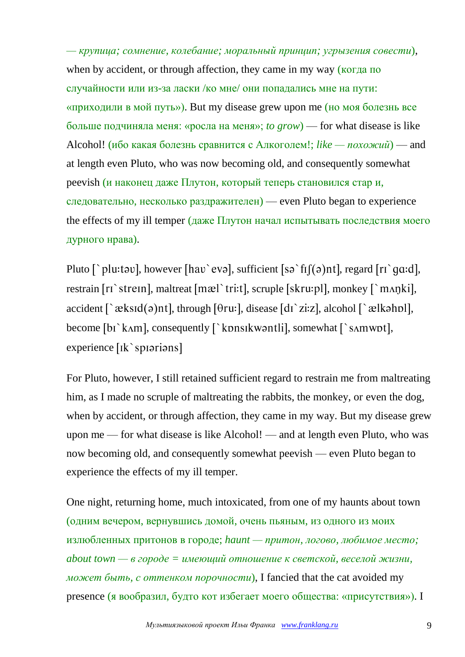*— крупица; сомнение, колебание; моральный принцип; угрызения совести*), when by accident, or through affection, they came in my way (когда по случайности или из-за ласки /ко мне/ они попадались мне на пути: «приходили в мой путь»). But my disease grew upon me (но моя болезнь все больше подчиняла меня: «росла на меня»; *to grow*) — for what disease is like Alcohol! (ибо какая болезнь сравнится с Алкоголем!; *like — похожий*) — and at length even Pluto, who was now becoming old, and consequently somewhat peevish (и наконец даже Плутон, который теперь становился стар и, следовательно, несколько раздражителен) — even Pluto began to experience the effects of my ill temper (даже Плутон начал испытывать последствия моего дурного нрава).

Pluto  $\int$  plu: tav, however [hav eva], sufficient [sa `fi](a)nt], regard [ri `qq:d], restrain  $[r\hat{i}]$  strem, maltreat  $[m\infty \hat{i}]$  ri:t, scruple  $[s\hat{k}r\hat{i}]$ , monkey  $[\hat{i}]$  m $\hat{j}$ , monki accident  $\lceil \cdot \text{æksId}(\vartheta)$ nt], through  $\lceil \theta \text{ru} \cdot \rceil$ , disease  $\lceil \text{dr} \cdot \text{ziz} \rceil$ , alcohol  $\lceil \cdot \text{ælkəhpl} \rceil$ , become  $\lceil bi \rangle$  kam], consequently  $\lceil \rangle$  konsit kvantlil, somewhat  $\lceil \rangle$  samwot], experience [Ik`spiarians]

For Pluto, however, I still retained sufficient regard to restrain me from maltreating him, as I made no scruple of maltreating the rabbits, the monkey, or even the dog, when by accident, or through affection, they came in my way. But my disease grew upon me — for what disease is like Alcohol! — and at length even Pluto, who was now becoming old, and consequently somewhat peevish — even Pluto began to experience the effects of my ill temper.

One night, returning home, much intoxicated, from one of my haunts about town (одним вечером, вернувшись домой, очень пьяным, из одного из моих излюбленных притонов в городе; *haunt — притон, логово, любимое место; about town — в городе = имеющий отношение к светской, веселой жизни, может быть, с оттенком порочности*), I fancied that the cat avoided my presence (я вообразил, будто кот избегает моего общества: «присутствия»). I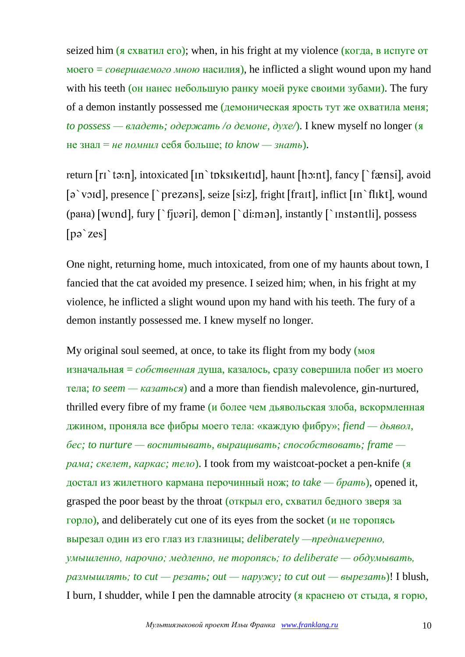seized him (я схватил его); when, in his fright at my violence (когда, в испуге от моего = *совершаемого мною* насилия), he inflicted a slight wound upon my hand with his teeth (он нанес небольшую ранку моей руке своими зубами). The fury of a demon instantly possessed me (демоническая ярость тут же охватила меня; *to possess — владеть; одержать /о демоне, духе/*). I knew myself no longer (я не знал = *не помнил* себя больше; *to know — знать*).

return  $[r_1$  ta:n, intoxicated  $[n$  toksikeitid, haunt  $[h_2:nt]$ , fancy  $\lceil$  fænsi, avoid  $\lceil \rho \text{ }\rangle$  void, presence  $\lceil \text{ }\rangle$  prezons, seize  $\lceil \text{ }$  seize, fright  $\lceil \text{ }$  frait, inflict  $\lceil \text{ }$  in  $\rangle$  flikt, wound  $(pa<sub>H</sub>a)$  [wvnd], fury  $\lceil \cdot f|$ vəri], demon  $\lceil \cdot f|$  di:mən], instantly  $\lceil \cdot f|$  instantli], possess  $[p\partial \zeta zes]$ 

One night, returning home, much intoxicated, from one of my haunts about town, I fancied that the cat avoided my presence. I seized him; when, in his fright at my violence, he inflicted a slight wound upon my hand with his teeth. The fury of a demon instantly possessed me. I knew myself no longer.

My original soul seemed, at once, to take its flight from my body (моя изначальная = *собственная* душа, казалось, сразу совершила побег из моего тела; *to seem — казаться*) and a more than fiendish malevolence, gin-nurtured, thrilled every fibre of my frame ( $\mu$  более чем дьявольская злоба, вскормленная джином, проняла все фибры моего тела: «каждую фибру»; *fiend — дьявол, бес; to nurture — воспитывать, выращивать; способствовать; frame рама; скелет, каркас; тело*). I took from my waistcoat-pocket a pen-knife (я достал из жилетного кармана перочинный нож; *to take — брать*), opened it, grasped the poor beast by the throat (открыл его, схватил бедного зверя за горло), and deliberately cut one of its eyes from the socket (и не торопясь вырезал один из его глаз из глазницы; *deliberately —преднамеренно, умышленно, нарочно; медленно, не торопясь; to deliberate — обдумывать, размышлять; to cut — резать; out — наружу; to cut out — вырезать*)! I blush, I burn, I shudder, while I pen the damnable atrocity (я краснею от стыда, я горю,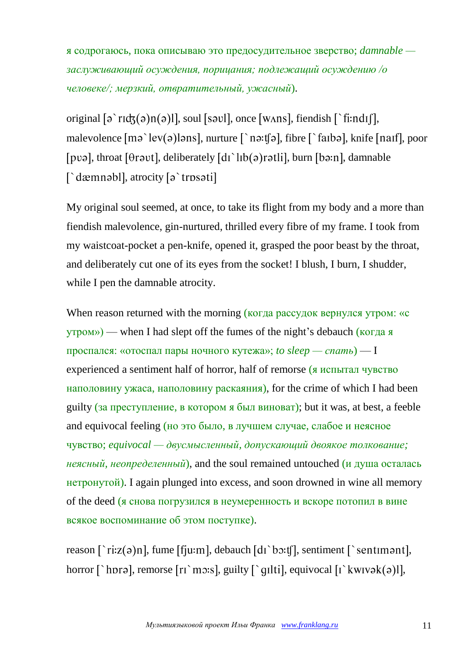я содрогаюсь, пока описываю это предосудительное зверство; *damnable заслуживающий осуждения, порицания; подлежащий осуждению /о человеке/; мерзкий, отвратительный, ужасный*).

original  $\lceil \varphi \rceil$  rid $\zeta(\varphi)$  ( $\varphi$ )|, soul  $\lceil \varphi \varphi \rceil$ , once  $\lceil \varphi \varphi \rceil$ , fiendish  $\lceil \varphi \rceil$ ; fiendish  $\lceil \varphi \rceil$ , malevolence  $\lceil m \rceil$  lev(a) lans, nurture  $\lceil \rceil n \rceil$  as the  $\lceil \rceil$  farba, knife  $\lceil n \rceil$ , poor [pvə], throat [ $\theta$ rəvt], deliberately  $\left[ \frac{di}{h} \right]$  (a) rətli], burn  $\left[ \theta$ ə:n], damnable  $\int$  dæmnəbl], atrocity  $\lceil \varphi \rangle$  trpsəti]

My original soul seemed, at once, to take its flight from my body and a more than fiendish malevolence, gin-nurtured, thrilled every fibre of my frame. I took from my waistcoat-pocket a pen-knife, opened it, grasped the poor beast by the throat, and deliberately cut one of its eyes from the socket! I blush, I burn, I shudder, while I pen the damnable atrocity.

When reason returned with the morning (когда рассудок вернулся утром: «с утром») — when I had slept off the fumes of the night's debauch (когда я проспался: «отоспал пары ночного кутежа»; *to sleep — спать*) — I experienced a sentiment half of horror, half of remorse (я испытал чувство наполовину ужаса, наполовину раскаяния), for the crime of which I had been guilty (за преступление, в котором я был виноват); but it was, at best, a feeble and equivocal feeling (но это было, в лучшем случае, слабое и неясное чувство; *equivocal — двусмысленный, допускающий двоякое толкование; неясный, неопределенный*), and the soul remained untouched (и душа осталась нетронутой). I again plunged into excess, and soon drowned in wine all memory of the deed (я снова погрузился в неумеренность и вскоре потопил в вине всякое воспоминание об этом поступке).

reason  $\lceil \cdot r : z(\sigma) \rceil$ , fume  $\lceil f | u : m \rceil$ , debauch  $\lceil d \rceil$  bo:tfl, sentiment  $\lceil \cdot \text{sentim} \rceil$ , horror  $\lceil \cdot \text{hord} \rceil$ , remorse  $\lceil \text{r} \cdot \text{mosh} \rceil$ , guilty  $\lceil \cdot \text{qulti} \rceil$ , equivocal  $\lceil \cdot \text{kwivok}(\rceil) \rceil$ ,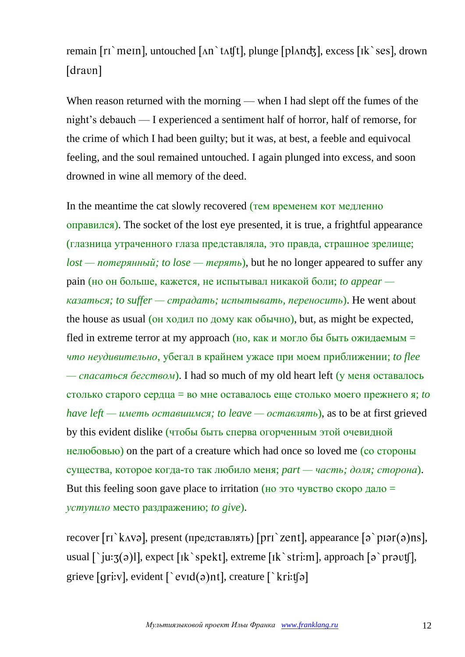## remain  $\lceil r \rceil$  mein, untouched  $\lceil \Delta n \rceil$  tat $\lceil r \rceil$ , plunge  $\lceil p \rceil$  and  $\lceil r \rceil$ , excess  $\lceil r \rceil$  ses, drown [dravn]

When reason returned with the morning — when I had slept off the fumes of the night's debauch — I experienced a sentiment half of horror, half of remorse, for the crime of which I had been guilty; but it was, at best, a feeble and equivocal feeling, and the soul remained untouched. I again plunged into excess, and soon drowned in wine all memory of the deed.

In the meantime the cat slowly recovered (тем временем кот медленно оправился). The socket of the lost eye presented, it is true, a frightful appearance (глазница утраченного глаза представляла, это правда, страшное зрелище; *lost — потерянный; to lose — терять*), but he no longer appeared to suffer any pain (но он больше, кажется, не испытывал никакой боли; *to appear казаться; to suffer — страдать; испытывать, переносить*). He went about the house as usual (он ходил по дому как обычно), but, as might be expected, fled in extreme terror at my approach (но, как и могло бы быть ожидаемым  $=$ *что неудивительно*, убегал в крайнем ужасе при моем приближении; *to flee — спасаться бегством*). I had so much of my old heart left (у меня оставалось столько старого сердца = во мне оставалось еще столько моего прежнего я; *to have left — иметь оставшимся; to leave — оставлять*), as to be at first grieved by this evident dislike (чтобы быть сперва огорченным этой очевидной нелюбовью) on the part of a creature which had once so loved me (со стороны существа, которое когда-то так любило меня; *part — часть; доля; сторона*). But this feeling soon gave place to irritation (но это чувство скоро дало  $=$ *уступило* место раздражению; *to give*).

recover  $[ri \text{ k} \text{N} \vartheta]$ , present (представлять)  $[pri \text{ k} \text{m} \vartheta]$ , appearance  $[ə \text{ k} \text{m} \vartheta]$ usual  $\lceil \cdot |u: \mathfrak{z}(\mathfrak{z})| \rceil$ , expect  $\lceil \mathfrak{lk} \cdot \mathfrak{z}$  respects  $\lceil \mathfrak{lk} \cdot \mathfrak{z}$  respects  $\lceil \mathfrak{z} \cdot \mathfrak{z} \rceil$ , approach  $\lceil \mathfrak{z} \cdot \mathfrak{z} \rceil$ , grieve [qri:v], evident  $\lceil$  evid(a)nt], creature  $\lceil$  kri:t[a]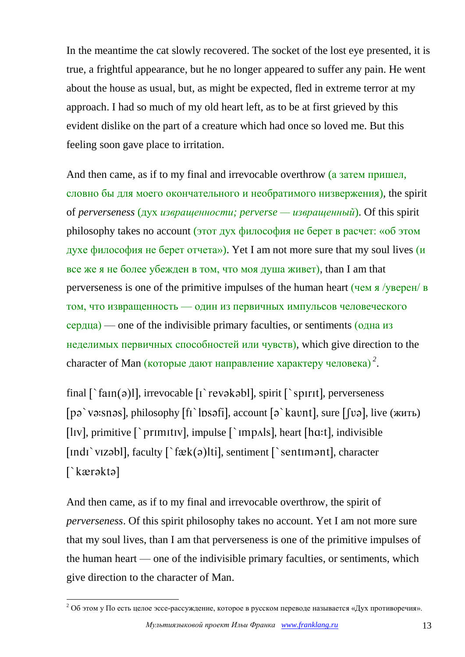In the meantime the cat slowly recovered. The socket of the lost eye presented, it is true, a frightful appearance, but he no longer appeared to suffer any pain. He went about the house as usual, but, as might be expected, fled in extreme terror at my approach. I had so much of my old heart left, as to be at first grieved by this evident dislike on the part of a creature which had once so loved me. But this feeling soon gave place to irritation.

And then came, as if to my final and irrevocable overthrow (а затем пришел, словно бы для моего окончательного и необратимого низвержения), the spirit of *perverseness* (дух *извращенности; perverse — извращенный*). Of this spirit philosophy takes no account (этот дух философия не берет в расчет: «об этом духе философия не берет отчета»). Yet I am not more sure that my soul lives (и все же я не более убежден в том, что моя душа живет), than I am that perverseness is one of the primitive impulses of the human heart (чем я /уверен/ в том, что извращенность — один из первичных импульсов человеческого сердца) — one of the indivisible primary faculties, or sentiments (одна из неделимых первичных способностей или чувств), which give direction to the character of Man (которые дают направление характеру человека) *<sup>2</sup>* .

final  $\lceil \frac{\text{tan}(\mathfrak{a})}{\text{l}} \rceil$ , irrevocable  $\lceil \frac{\text{cos}(\mathfrak{a})}{\text{l}} \rceil$ , spirit  $\lceil \frac{\text{cos}(\mathfrak{a})}{\text{l}} \rceil$ , perverseness [pə`və:snəs], philosophy  $\lceil \ln \frac{1}{\sqrt{2}} \rceil$ , account  $\lceil \frac{1}{2} \rceil$  kavnt], sure  $\lceil \ln \frac{1}{2} \rceil$ , live (жить) [ $\text{liv}$ ], primitive  $\lceil \text{primit} \rceil$ , impulse  $\lceil \text{impals} \rceil$ , heart  $\lceil \text{ha:t} \rceil$ , indivisible [Indi vizabl], faculty  $\lceil \hat{c}k(\theta) \rceil$  sentiment  $\lceil \hat{c} \rangle$  sentiment], character  $\lceil$ kærəktə $\rceil$ 

And then came, as if to my final and irrevocable overthrow, the spirit of *perverseness*. Of this spirit philosophy takes no account. Yet I am not more sure that my soul lives, than I am that perverseness is one of the primitive impulses of the human heart — one of the indivisible primary faculties, or sentiments, which give direction to the character of Man.

1

<sup>&</sup>lt;sup>2</sup> Об этом у По есть целое эссе-рассуждение, которое в русском переводе называется «Дух противоречия».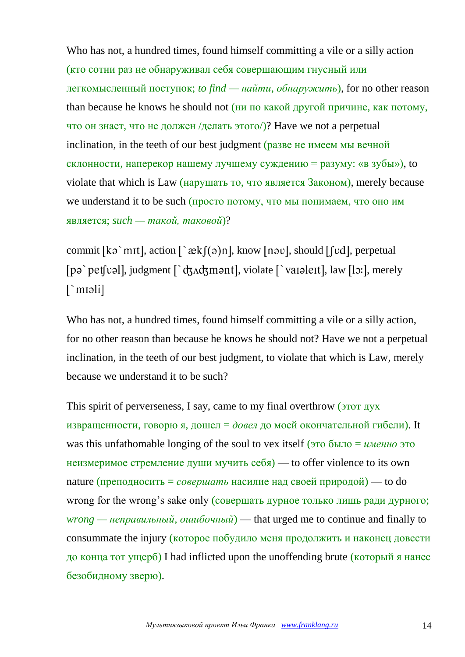Who has not, a hundred times, found himself committing a vile or a silly action (кто сотни раз не обнаруживал себя совершающим гнусный или легкомысленный поступок; *to find — найти, обнаружить*), for no other reason than because he knows he should not (ни по какой другой причине, как потому, что он знает, что не должен /делать этого/)? Have we not a perpetual inclination, in the teeth of our best judgment (разве не имеем мы вечной склонности, наперекор нашему лучшему суждению = разуму: «в зубы»), to violate that which is Law (нарушать то, что является Законом), merely because we understand it to be such (просто потому, что мы понимаем, что оно им является; *such — такой, таковой*)?

commit [kə`mɪt], action [`æk [(ə)n], know [nəv], should [fvd], perpetual [pə`pet[vəl], judgment  $\lceil$ `dʒʌdʒmənt], violate  $\lceil$ `varəlert], law  $\lceil$ lɔ:], merely  $\lceil$  moli

Who has not, a hundred times, found himself committing a vile or a silly action, for no other reason than because he knows he should not? Have we not a perpetual inclination, in the teeth of our best judgment, to violate that which is Law, merely because we understand it to be such?

This spirit of perverseness, I say, came to my final overthrow (этот дух извращенности, говорю я, дошел = *довел* до моей окончательной гибели). It was this unfathomable longing of the soul to vex itself (это было = *именно* это неизмеримое стремление души мучить  $ce6a$ ) — to offer violence to its own nature (преподносить = *совершать* насилие над своей природой) — to do wrong for the wrong's sake only (совершать дурное только лишь ради дурного; *wrong — неправильный, ошибочный*) — that urged me to continue and finally to consummate the injury (которое побудило меня продолжить и наконец довести до конца тот ущерб) I had inflicted upon the unoffending brute (который я нанес безобидному зверю).